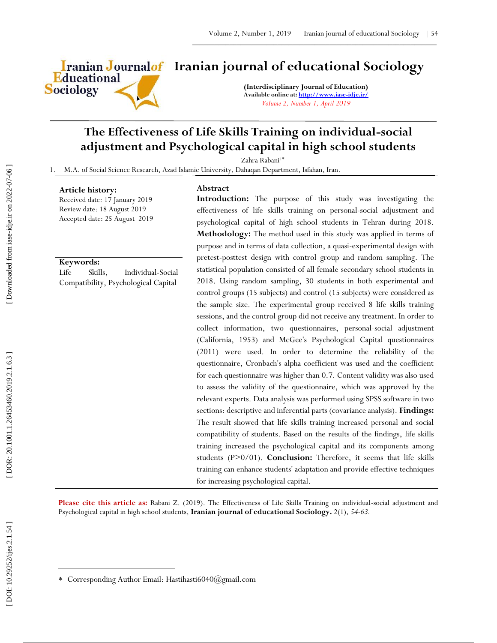Educational **Sociology** 

# **Iranian Journalof** Iranian journal of educational Sociology

**(Interdisciplinary Journal of Education) Available online at[: http://www.iase](http://www.iase-idje.ir/) -idje.ir/** *Volume 2, Number 1, April 2019*

## **The Effectiveness of Life Skills Training on individual -social adjustment and Psychological capital in high school students**

Zahra Rabani<sup>1\*</sup>

1. M.A. of Social Science Research, Azad Islamic University, Dahaqan Department, Isfahan, Iran.

#### **Article history:**

### Received date: 17 January 2019 Review date: 18 August 2019 Accepted date: 25 August 2019

## **Keywords:**

Life Skills, Individual -Social Compatibility, Psychological Capital

**Abstract**

**Introduction :** The purpose of this study was investigating the effectiveness of life skills training on personal -social adjustment and psychological capital of high school students in Tehran during 2018. **Methodology:** The method used in this study was applied in terms of purpose and in terms of data collection, a quasi -experimental design with pretest -posttest design with control group and random sampling. The statistical population consisted of all female secondary school students in 2018. Using random sampling, 30 students in both experimental and control groups (15 subjects) and control (15 subjects) were considered as the sample size. The experimental group received 8 life skills training sessions, and the control group did not receive any treatment. In order to collect information, two questionnaires, personal -social adjustment (California, 1953) and McGee's Psychological Capital questionnaires (2011) were used. In order to determine the reliability of the questionnaire, Cronbach's alpha coefficient was used and the coefficient for each questionnaire was higher than 0.7. Content validity was also used to assess the validity of the questionnaire, which was approved by the relevant experts. Data analysis was performed using SPSS software in two sections: descriptive and inferential parts (covariance analysis). **Findings:** The result showed that life skills training increased personal and social compatibility of students. Based on the results of the findings, life skills training increased the psychological capital and its components among students (P>0/01). **Conclusion:** Therefore, it seems that life skills training can enhance students' adaptation and provide effective techniques for increasing psychological capital.

Please cite this article as: Rabani Z. (2019). The Effectiveness of Life Skills Training on individual-social adjustment and Psychological capital in high school students , **Iranian journal of educational Sociology .** 2 ( 1), *54 -63.*

 $\overline{a}$ 

Corresponding Author Email: Hastihasti6040@gmail.com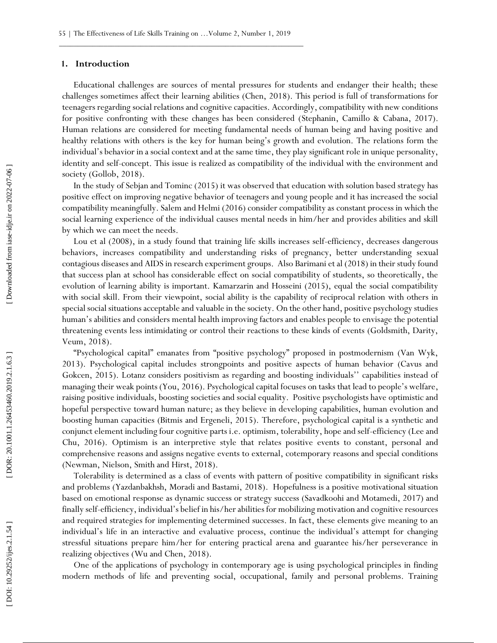#### **1. Introduction**

Educational challenges are sources of mental pressures for students and endanger their health; these challenges sometimes affect their learning abilities (Chen, 2018). This period is full of transformations for teenagers regarding social relations and cognitive capacities. Accordingly, compatibility with new conditions for positive confronting with these changes has been considered (Stephanin, Camillo & Cabana, 2017). Human relations are considered for meeting fundamental needs of human being and having positive and healthy relations with others is the key for human being's growth and evolution. The relations form the individual's behavior in a social context and at the same time, they play significant role in unique personality, identity and self-concept. This issue is realized as compatibility of the individual with the environment and society (Gollob, 2018).

In the study of Sebjan and Tominc (2015) it was observed that education with solution based strategy has positive effect on improving negative behavior of teenagers and young people and it has increased the social compatibility meaningfully. Salem and Helmi (2016) consider compatibility as constant process in which the social learning experience of the individual causes mental needs in him/her and provides abilities and skill by which we can meet the needs.

Lou et al (2008), in a study found that training life skills increases self-efficiency, decreases dangerous behaviors, increases compatibility and understanding risks of pregnancy, better understanding sexual contagious diseases and AIDS in research experiment groups. Also Barimani et al (2018) in their study found that success plan at school has considerable effect on social compatibility of students, so theoretically, the evolution of learning ability is important. Kamarzarin and Hosseini (2015), equal the social compatibility with social skill. From their viewpoint, social ability is the capability of reciprocal relation with others in special social situations acceptable and valuable in the society. On the other hand, positive psychology studies human's abilities and considers mental health improving factors and enables people to envisage the potential threatening events less intimidating or control their reactions to these kinds of events (Goldsmith, Darity, Veum, 2018).

"Psychological capital" emanates from "positive psychology" proposed in postmodernism (Van Wyk, 2013). Psychological capital includes strongpoints and positive aspects of human behavior (Cavus and Gokcen, 2015). Lotanz considers positivism as regarding and boosting individuals'' capabilities instead of managing their weak points (You, 2016). Psychological capital focuses on tasks that lead to people's welfare, raising positive individuals, boosting societies and social equality. Positive psychologists have optimistic and hopeful perspective toward human nature; as they believe in developing capabilities, human evolution and boosting human capacities (Bitmis and Ergeneli, 2015). Therefore, psychological capital is a synthetic and conjunct element including four cognitive parts i.e. optimism, tolerability, hope and self -efficiency (Lee and Chu, 2016). Optimism is an interpretive style that relates positive events to constant, personal and comprehensive reasons and assigns negative events to external, cotemporary reasons and special conditions (Newman, Nielson, Smith and Hirst, 2018).

Tolerability is determined as a class of events with pattern of positive compatibility in significant risks and problems (Yazdanbakhsh, Moradi and Bastami, 2018). Hopefulness is a positive motivational situation based on emotional response as dynamic success or strategy success (Savadkoohi and Motamedi, 2017) and finally self-efficiency, individual's belief in his/her abilities for mobilizing motivation and cognitive resources and required strategies for implementing determined successes. In fact, these elements give meaning to an individual's life in an interactive and evaluative process, continue the individual's attempt for changing stressful situations prepare him/her for entering practical arena and guarantee his/her perseverance in realizing objectives (Wu and Chen, 2018).

One of the applications of psychology in contemporary age is using psychological principles in finding modern methods of life and preventing social, occupational, family and personal problems. Training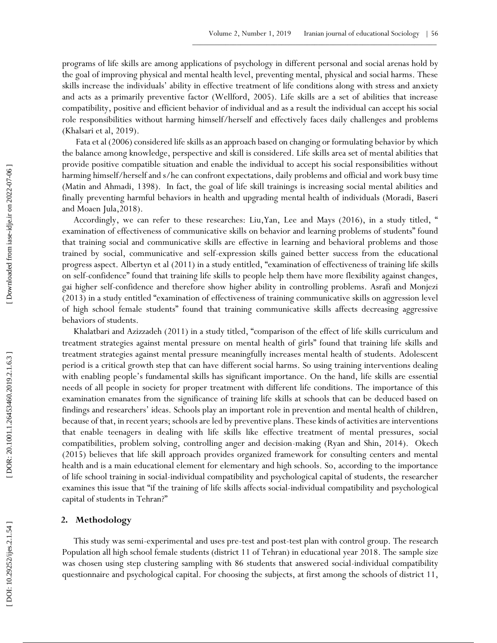programs of life skills are among applications of psychology in different personal and social arenas hold by the goal of improving physical and mental health level, preventing mental, physical and social harms. These skills increase the individuals' ability in effective treatment of life conditions along with stress and anxiety and acts as a primarily preventive factor (Wellford, 2005). Life skills are a set of abilities that increase compatibility, positive and efficient behavior of individual and as a result the individual can accept his social role responsibilities without harming himself/herself and effectively faces daily challenges and problems (Khalsari et al, 2019).

Fata et al (2006) considered life skills as an approach based on changing or formulating behavior by which the balance among knowledge, perspective and skill is considered. Life skills area set of mental abilities that provide positive compatible situation and enable the individual to accept his social responsibilities without harming himself/herself and s/he can confront expectations, daily problems and official and work busy time (Matin and Ahmadi, 1398). In fact, the goal of life skill trainings is increasing social mental abilities and finally preventing harmful behaviors in health and upgrading mental health of individuals (Moradi, Baseri and Moaen Jula,2018).

Accordingly, we can refer to these researches: Liu,Yan, Lee and Mays (2016), in a study titled, " examination of effectiveness of communicative skills on behavior and learning problems of students" found that training social and communicative skills are effective in learning and behavioral problems and those trained by social, communicative and self -expression skills gained better success from the educational progress aspect. Albertyn et al (2011) in a study entitled, "examination of effectiveness of training life skills on self-confidence" found that training life skills to people help them have more flexibility against changes, gai higher self-confidence and therefore show higher ability in controlling problems. Asrafi and Monjezi (2013) in a study entitled "examination of effectiveness of training communicative skills on aggression level of high school female students" found that training communicative skills affects decreasing aggressive behaviors of students.

Khalatbari and Azizzadeh (2011) in a study titled, "comparison of the effect of life skills curriculum and treatment strategies against mental pressure on mental health of girls" found that training life skills and treatment strategies against mental pressure meaningfully increases mental health of students. Adolescent period is a critical growth step that can have different social harms. So using training interventions dealing with enabling people's fundamental skills has significant importance. On the hand, life skills are essential needs of all people in society for proper treatment with different life conditions. The importance of this examination emanates from the significance of training life skills at schools that can be deduced based on findings and researchers' ideas. Schools play an important role in prevention and mental health of children, because of that, in recent years; schools are led by preventive plans. These kinds of activities are interventions that enable teenagers in dealing with life skills like effective treatment of mental pressures, social compatibilities, problem solving, controlling anger and decision -making (Ryan and Shin, 2014). Okech (2015) believes that life skill approach provides organized framework for consulting centers and mental health and is a main educational element for elementary and high schools. So, according to the importance of life school training in social -individual compatibility and psychological capital of students, the researcher examines this issue that "if the training of life skills affects social -individual compatibility and psychological capital of students in Tehran?"

### **2. Methodology**

This study was semi -experimental and uses pre -test and post -test plan with control group. The research Population all high school female students (district 11 of Tehran) in educational year 2018. The sample size was chosen using step clustering sampling with 86 students that answered social -individual compatibility questionnaire and psychological capital. For choosing the subjects, at first among the schools of district 11,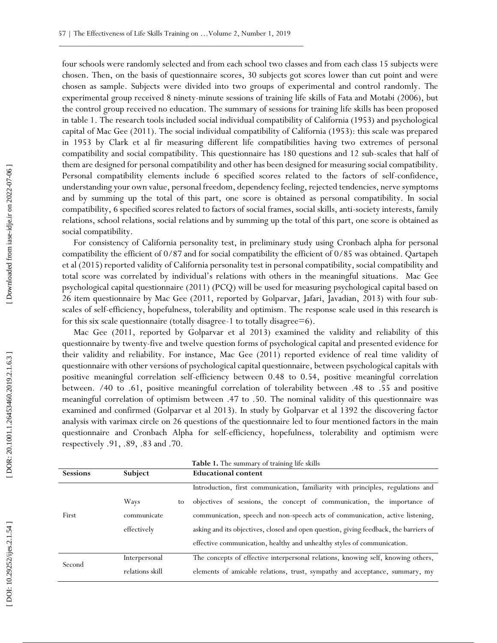four schools were randomly selected and from each school two classes and from each class 15 subjects were chosen. Then, on the basis of questionnaire scores, 30 subjects got scores lower than cut point and were chosen as sample. Subjects were divided into two groups of experimental and control randomly. The experimental group received 8 ninety -minute sessions of training life skills of Fata and Motabi (2006), but the control group received no education. The summary of sessions for training life skills has been proposed in table 1. The research tools included social individual compatibility of California (1953) and psychological capital of Mac Gee (2011). The social individual compatibility of California (1953): this scale was prepared in 1953 by Clark et al fir measuring different life compatibilities having two extremes of personal compatibility and social compatibility. This questionnaire has 180 questions and 12 sub -scales that half of them are designed for personal compatibility and other has been designed for measuring social compatibility. Personal compatibility elements include 6 specified scores related to the factors of self-confidence, understanding your own value, personal freedom, dependency feeling, rejected tendencies, nerve symptoms and by summing up the total of this part, one score is obtained as personal compatibility. In social compatibility, 6 specified scores related to factors of social frames, social skills, anti -society interests, family relations, school relations, social relations and by summing up the total of this part, one score is obtained as social compatibility.

For consistency of California personality test, in preliminary study using Cronbach alpha for personal compatibility the efficient of 0/87 and for social compatibility the efficient of 0/85 was obtained. Qartapeh et al (2015) reported validity of California personality test in personal compatibility, social compatibility and total score was correlated by individual's relations with others in the meaningful situations. Mac Gee psychological capital questionnaire (2011) (PCQ) will be used for measuring psychological capital based on 26 item questionnaire by Mac Gee (2011, reported by Golparvar, Jafari, Javadian, 2013) with four sub scales of self-efficiency, hopefulness, tolerability and optimism. The response scale used in this research is for this six scale questionnaire (totally disagree -1 to totally disagree=6).

Mac Gee (2011, reported by Golparvar et al 2013) examined the validity and reliability of this questionnaire by twenty -five and twelve question forms of psychological capital and presented evidence for their validity and reliability. For instance, Mac Gee (2011) reported evidence of real time validity of questionnaire with other versions of psychological capital questionnaire, between psychological capitals with positive meaningful correlation self-efficiency between 0.48 to 0.54, positive meaningful correlation between. /40 to .61, positive meaningful correlation of tolerability between .48 to .55 and positive meaningful correlation of optimism between .47 to .50. The nominal validity of this questionnaire was examined and confirmed (Golparvar et al 2013). In study by Golparvar et al 1392 the discovering factor analysis with varimax circle on 26 questions of the questionnaire led to four mentioned factors in the main questionnaire and Cronbach Alpha for self-efficiency, hopefulness, tolerability and optimism were respectively .91, .89, .83 and .70.

|                 |                 | Table 1. The summary of training life skills                                          |  |  |
|-----------------|-----------------|---------------------------------------------------------------------------------------|--|--|
| <b>Sessions</b> | Subject         | <b>Educational content</b>                                                            |  |  |
|                 |                 | Introduction, first communication, familiarity with principles, regulations and       |  |  |
|                 | Ways<br>to      | objectives of sessions, the concept of communication, the importance of               |  |  |
| First           | communicate     | communication, speech and non-speech acts of communication, active listening,         |  |  |
|                 | effectively     | asking and its objectives, closed and open question, giving feedback, the barriers of |  |  |
|                 |                 | effective communication, healthy and unhealthy styles of communication.               |  |  |
| Second          | Interpersonal   | The concepts of effective interpersonal relations, knowing self, knowing others,      |  |  |
|                 | relations skill | elements of amicable relations, trust, sympathy and acceptance, summary, my           |  |  |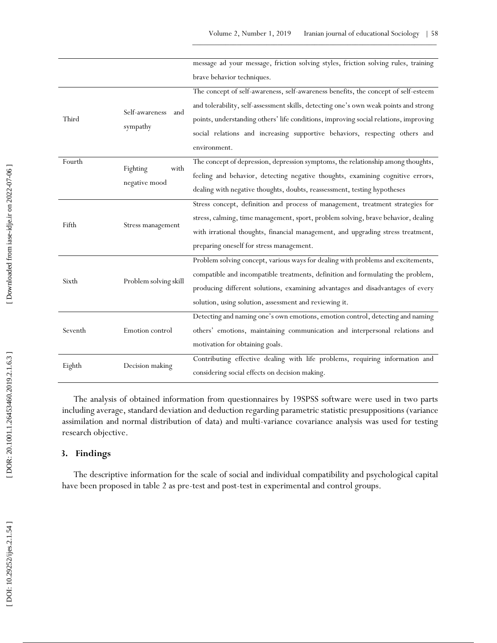|         |                       | message ad your message, friction solving styles, friction solving rules, training   |
|---------|-----------------------|--------------------------------------------------------------------------------------|
|         |                       | brave behavior techniques.                                                           |
|         |                       | The concept of self-awareness, self-awareness benefits, the concept of self-esteem   |
|         | Self-awareness<br>and | and tolerability, self-assessment skills, detecting one's own weak points and strong |
| Third   |                       | points, understanding others' life conditions, improving social relations, improving |
|         | sympathy              | social relations and increasing supportive behaviors, respecting others and          |
|         |                       | environment.                                                                         |
| Fourth  | with                  | The concept of depression, depression symptoms, the relationship among thoughts,     |
|         | Fighting              | feeling and behavior, detecting negative thoughts, examining cognitive errors,       |
|         | negative mood         | dealing with negative thoughts, doubts, reassessment, testing hypotheses             |
|         |                       | Stress concept, definition and process of management, treatment strategies for       |
| Fifth   |                       | stress, calming, time management, sport, problem solving, brave behavior, dealing    |
|         | Stress management     | with irrational thoughts, financial management, and upgrading stress treatment,      |
|         |                       | preparing oneself for stress management.                                             |
|         |                       | Problem solving concept, various ways for dealing with problems and excitements,     |
|         |                       | compatible and incompatible treatments, definition and formulating the problem,      |
| Sixth   | Problem solving skill | producing different solutions, examining advantages and disadvantages of every       |
|         |                       | solution, using solution, assessment and reviewing it.                               |
|         |                       | Detecting and naming one's own emotions, emotion control, detecting and naming       |
| Seventh | Emotion control       | others' emotions, maintaining communication and interpersonal relations and          |
|         |                       | motivation for obtaining goals.                                                      |
|         |                       | Contributing effective dealing with life problems, requiring information and         |
| Eighth  | Decision making       | considering social effects on decision making.                                       |

The analysis of obtained information from questionnaires by 19SPSS software were used in two parts including average, standard deviation and deduction regarding parametric statistic presuppositions (variance assimilation and normal distribution of data) and multi -variance covariance analysis was used for testing research objective.

### **3. Findings**

The descriptive information for the scale of social and individual compatibility and psychological capital have been proposed in table 2 as pre -test and post -test in experimental and control groups.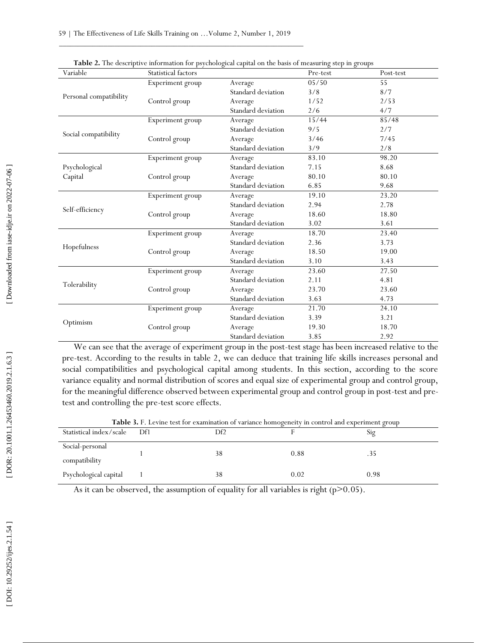| Variable               | Statistical factors |                    | Pre-test | Post-test       |
|------------------------|---------------------|--------------------|----------|-----------------|
|                        | Experiment group    | Average            | 05/50    | $\overline{55}$ |
|                        |                     | Standard deviation | 3/8      | 8/7             |
| Personal compatibility | Control group       | Average            | 1/52     | 2/53            |
|                        |                     | Standard deviation | 2/6      | 4/7             |
|                        | Experiment group    | Average            | 15/44    | 85/48           |
|                        |                     | Standard deviation | 9/5      | 2/7             |
| Social compatibility   | Control group       | Average            | 3/46     | 7/45            |
|                        |                     | Standard deviation | 3/9      | 2/8             |
|                        | Experiment group    | Average            | 83.10    | 98.20           |
| Psychological          |                     | Standard deviation | 7.15     | 8.68            |
| Capital                | Control group       | Average            | 80.10    | 80.10           |
|                        |                     | Standard deviation | 6.85     | 9.68            |
|                        | Experiment group    | Average            | 19.10    | 23.20           |
|                        |                     | Standard deviation | 2.94     | 2.78            |
| Self-efficiency        | Control group       | Average            | 18.60    | 18.80           |
|                        |                     | Standard deviation | 3.02     | 3.61            |
|                        | Experiment group    | Average            | 18.70    | 23.40           |
|                        |                     | Standard deviation | 2.36     | 3.73            |
| Hopefulness            | Control group       | Average            | 18.50    | 19.00           |
|                        |                     | Standard deviation | 3.10     | 3.43            |
|                        | Experiment group    | Average            | 23.60    | 27.50           |
|                        |                     | Standard deviation | 2.11     | 4.81            |
| Tolerability           | Control group       | Average            | 23.70    | 23.60           |
|                        |                     | Standard deviation | 3.63     | 4.73            |
|                        | Experiment group    | Average            | 21.70    | 24.10           |
| Optimism               |                     | Standard deviation | 3.39     | 3.21            |
|                        | Control group       | Average            | 19.30    | 18.70           |
|                        |                     | Standard deviation | 3.85     | 2.92            |

| Table 2. The descriptive information for psychological capital on the basis of measuring step in groups |  |  |  |  |
|---------------------------------------------------------------------------------------------------------|--|--|--|--|
|                                                                                                         |  |  |  |  |

We can see that the average of experiment group in the post -test stage has been increased relative to the pre -test. According to the results in table 2, we can deduce that training life skills increases personal and social compatibilities and psychological capital among students. In this section, according to the score variance equality and normal distribution of scores and equal size of experimental group and control group, for the meaningful difference observed between experimental group and control group in post -test and pre test and controlling the pre -test score effects.

|                                  |     | <b>Table 3.</b> F. Et vine test for examination or variance homogeneity in control and experiment group |      |     |  |
|----------------------------------|-----|---------------------------------------------------------------------------------------------------------|------|-----|--|
| Statistical index/scale          | Df1 | Df2                                                                                                     |      | 210 |  |
| Social-personal<br>compatibility |     |                                                                                                         | 0.88 | .J. |  |

1 38 0.02 0.98

**Table 3.** F. Levine test for examination of variance homogeneity in control and experiment group

As it can be observed, the assumption of equality for all variables is right  $(p>0.05)$ .

Psychological capital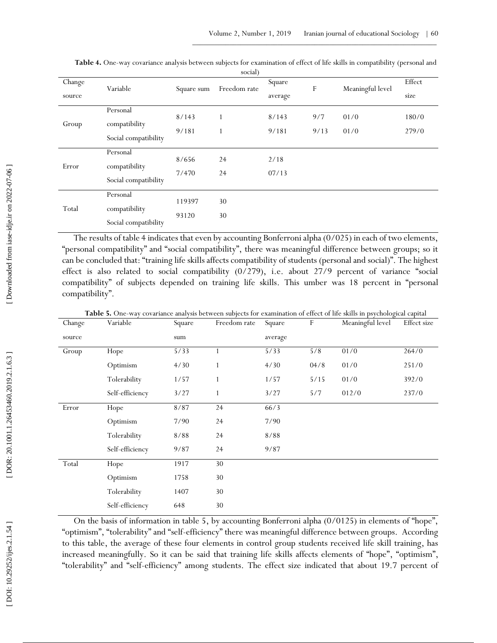|        | social)              |            |              |         |      |                  |        |
|--------|----------------------|------------|--------------|---------|------|------------------|--------|
| Change | Variable             | Square sum | Freedom rate | Square  | F    | Meaningful level | Effect |
| source |                      |            |              | average |      |                  | size   |
|        | Personal             | 8/143      |              | 8/143   | 9/7  | 01/0             | 180/0  |
| Group  | compatibility        |            |              |         |      |                  |        |
|        | Social compatibility | 9/181      |              | 9/181   | 9/13 | 01/0             | 279/0  |
|        | Personal             |            |              |         |      |                  |        |
| Error  | compatibility        | 8/656      | 24           | 2/18    |      |                  |        |
|        |                      | 7/470      | 24           | 07/13   |      |                  |        |
|        | Social compatibility |            |              |         |      |                  |        |
| Total  | Personal             |            |              |         |      |                  |        |
|        | compatibility        | 119397     | 30           |         |      |                  |        |
|        |                      | 93120      | 30           |         |      |                  |        |
|        | Social compatibility |            |              |         |      |                  |        |

Table 4. One-way covariance analysis between subjects for examination of effect of life skills in compatibility (personal and

The results of table 4 indicates that even by accounting Bonferroni alpha (0/025) in each of two elements, "personal compatibility" and "social compatibility", there was meaningful difference between groups; so it can be concluded that: "training life skills affects compatibility of students (personal and social)". The highest effect is also related to social compatibility (0/279), i.e. about 27/9 percent of variance "social compatibility" of subjects depended on training life skills. This umber was 18 percent in "personal compatibility".

Table 5. One-way covariance analysis between subjects for examination of effect of life skills in psychological capital

| Change | Variable        | Square | Freedom rate | Square  | $\mathbf F$ | Meaningful level | Effect size |
|--------|-----------------|--------|--------------|---------|-------------|------------------|-------------|
| source |                 | sum    |              | average |             |                  |             |
| Group  | Hope            | 5/33   |              | 5/33    | 5/8         | 01/0             | 264/0       |
|        | Optimism        | 4/30   | $\mathbf{1}$ | 4/30    | 04/8        | 01/0             | 251/0       |
|        | Tolerability    | 1/57   | 1            | 1/57    | 5/15        | 01/0             | 392/0       |
|        | Self-efficiency | 3/27   |              | 3/27    | 5/7         | 012/0            | 237/0       |
| Error  | Hope            | 8/87   | 24           | 66/3    |             |                  |             |
|        | Optimism        | 7/90   | 24           | 7/90    |             |                  |             |
|        | Tolerability    | 8/88   | 24           | 8/88    |             |                  |             |
|        | Self-efficiency | 9/87   | 24           | 9/87    |             |                  |             |
| Total  | Hope            | 1917   | 30           |         |             |                  |             |
|        | Optimism        | 1758   | $30\,$       |         |             |                  |             |
|        | Tolerability    | 1407   | 30           |         |             |                  |             |
|        | Self-efficiency | 648    | $30\,$       |         |             |                  |             |
|        |                 |        |              |         |             |                  |             |

On the basis of information in table 5, by accounting Bonferroni alpha (0/0125) in elements of "hope", "optimism", "tolerability" and "self-efficiency" there was meaningful difference between groups. According to this table, the average of these four elements in control group students received life skill training, has increased meaningfully. So it can be said that training life skills affects elements of "hope", "optimism", "tolerability" and "self-efficiency" among students. The effect size indicated that about 19.7 percent of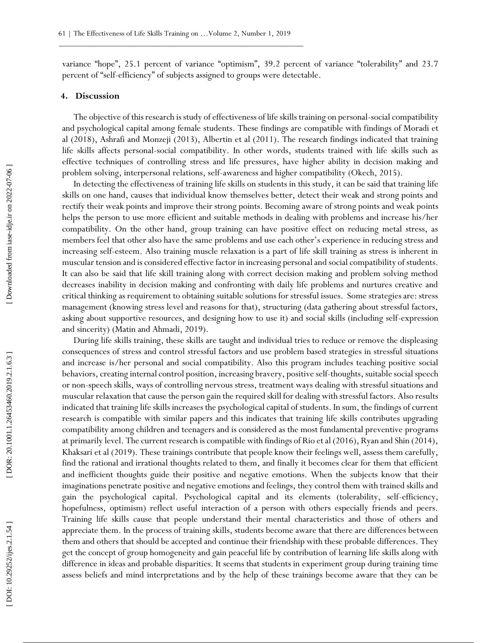variance "hope", 25.1 percent of variance "optimism", 39.2 percent of variance "tolerability" and 23.7 percent of "self-efficiency" of subjects assigned to groups were detectable.

#### **4. Discussion**

The objective of this research is study of effectiveness of life skills training on personal-social compatibility and psychological capital among female students. These findings are compatible with findings of Moradi et al (2018), Ashrafi and Monzeji (2013), Albertin et al (2011). The research findings indicated that training life skills affects personal -social compatibility. In other words, students trained with life skills such as effective techniques of controlling stress and life pressures, have higher ability in decision making and problem solving, interpersonal relations, self -awareness and higher compatibility (Okech, 2015).

In detecting the effectiveness of training life skills on students in this study, it can be said that training life skills on one hand, causes that individual know themselves better, detect their weak and strong points and rectify their weak points and improve their strong points. Becoming aware of strong points and weak points helps the person to use more efficient and suitable methods in dealing with problems and increase his/her compatibility. On the other hand, group training can have positive effect on reducing metal stress, as members feel that other also have the same problems and use each other's experience in reducing stress and increasing self-esteem. Also training muscle relaxation is a part of life skill training as stress is inherent in muscular tension and is considered effective factor in increasing personal and social compatibility of students. It can also be said that life skill training along with correct decision making and problem solving method decreases inability in decision making and confronting with daily life problems and nurtures creative and critical thinking as requirement to obtaining suitable solutions for stressful issues. Some strategies are: stress management (knowing stress level and reasons for that), structuring (data gathering about stressful factors, asking about supportive resources, and designing how to use it) and social skills (including self -expression and sincerity) (Matin and Ahmadi, 2019).

During life skills training, these skills are taught and individual tries to reduce or remove the displeasing consequences of stress and control stressful factors and use problem based strategies in stressful situations and increase is/her personal and social compatibility. Also this program includes teaching positive social behaviors, creating internal control position, increasing bravery, positive self-thoughts, suitable social speech or non -speech skills, ways of controlling nervous stress, treatment ways dealing with stressful situations and muscular relaxation that cause the person gain the required skill for dealing with stressful factors. Also results indicated that training life skills increases the psychological capital of students. In sum, the findings of current research is compatible with similar papers and this indicates that training life skills contributes upgrading compatibility among children and teenagers and is considered as the most fundamental preventive programs at primarily level. The current research is compatible with findings of Rio et al (2016), Ryan and Shin (2014), Khaksari et al (2019). These trainings contribute that people know their feelings well, assess them carefully, find the rational and irrational thoughts related to them, and finally it becomes clear for them that efficient and inefficient thoughts guide their positive and negative emotions. When the subjects know that their imaginations penetrate positive and negative emotions and feelings, they control them with trained skills and gain the psychological capital. Psychological capital and its elements (tolerability, self -efficiency, hopefulness, optimism) reflect useful interaction of a person with others especially friends and peers. Training life skills cause that people understand their mental characteristics and those of others and appreciate them. In the process of training skills, students become aware that there are differences between them and others that should be accepted and continue their friendship with these probable differences. They get the concept of group homogeneity and gain peaceful life by contribution of learning life skills along with difference in ideas and probable disparities. It seems that students in experiment group during training time assess beliefs and mind interpretations and by the help of these trainings become aware that they can be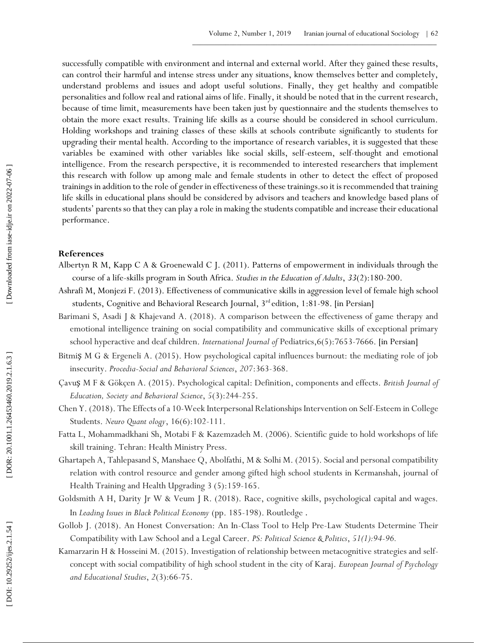successfully compatible with environment and internal and external world. After they gained these results, can control their harmful and intense stress under any situations, know themselves better and completely, understand problems and issues and adopt useful solutions. Finally, they get healthy and compatible personalities and follow real and rational aims of life. Finally, it should be noted that in the current research, because of time limit, measurements have been taken just by questionnaire and the students themselves to obtain the more exact results. Training life skills as a course should be considered in school curriculum. Holding workshops and training classes of these skills at schools contribute significantly to students for upgrading their mental health. According to the importance of research variables, it is suggested that these variables be examined with other variables like social skills, self -esteem, self-thought and emotional intelligence. From the research perspective, it is recommended to interested researchers that implement this research with follow up among male and female students in other to detect the effect of proposed trainings in addition to the role of gender in effectiveness of these trainings.so it is recommended that training life skills in educational plans should be considered by advisors and teachers and knowledge based plans of students' parents so that they can play a role in making the students compatible and increase their educational performance.

#### **References**

- Albertyn R M, Kapp C A & Groenewald C J. (2011). Patterns of empowerment in individuals through the course of a life -skills program in South Africa. *Studies in the Education of Adults*, *33*(2):180 -200.
- Ashrafi M, Monjezi F. (2013). Effectiveness of communicative skills in aggression level of female high school students, Cognitive and Behavioral Research Journal, 3<sup>rd</sup> edition, 1:81-98. [in Persian]
- Barimani S, Asadi J & Khajevand A. (2018). A comparison between the effectiveness of game therapy and emotional intelligence training on social compatibility and communicative skills of exceptional primary school hyperactive and deaf children. International Journal of Pediatrics, 6(5): 7653-7666. [in Persian]
- Bitmi SM G & Ergeneli A. (2015). How psychological capital influences burnout: the mediating role of job insecurity. *Procedia -Social and Behavioral Sciences* , *207*:363 -368.
- Çavu**ș** M F & Gökçen A. (2015). Psychological capital: Definition, components and effects. British Journal of *Education, Society and Behavioral Science* , *5*(3):244 -255.
- Chen Y. (2018). The Effects of a 10 -Week Interpersonal Relationships Intervention on Self -Esteem in College Students. *Neuro Quant ology*, 16(6):102 -111.
- Fatta L, Mohammadkhani Sh, Motabi F & Kazemzadeh M. (2006). Scientific guide to hold workshops of life skill training. Tehran: Health Ministry Press.
- Ghartapeh A, Tahlepasand S, Manshaee Q, Abolfathi, M & Solhi M. (2015). Social and personal compatibility relation with control resource and gender among gifted high school students in Kermanshah, journal of Health Training and Health Upgrading 3 (5):159 -165.
- Goldsmith A H, Darity Jr W & Veum J R. (2018). Race, cognitive skills, psychological capital and wages. In *Leading Issues in Black Political Economy* (pp. 185 -198). Routledge .
- Gollob J. (2018). An Honest Conversation: An In -Class Tool to Help Pre -Law Students Determine Their Compatibility with Law School and a Legal Career. *PS: Political Science & Politics* , *51(1):94 -96.*
- Kamarzarin H & Hosseini M. (2015). Investigation of relationship between metacognitive strategies and selfconcept with social compatibility of high school student in the city of Karaj. *European Journal of Psychology and Educational Studies* , *2*(3):66 -75.